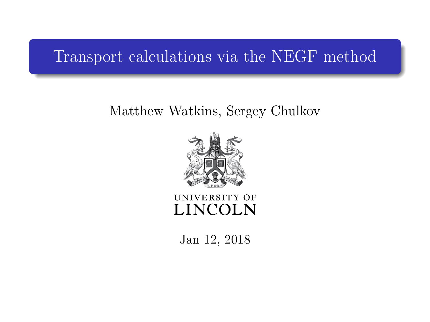#### <span id="page-0-0"></span>Transport calculations via the NEGF method

#### Matthew Watkins, Sergey Chulkov



UNIVERSITY OF **LINCOLN** 

Jan 12, 2018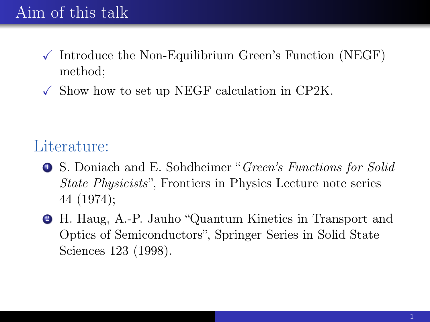# Aim of this talk

- $\checkmark$  Introduce the Non-Equilibrium Green's Function (NEGF) method;
- $\checkmark$  Show how to set up NEGF calculation in CP2K.

#### Literature:

- <sup>1</sup> S. Doniach and E. Sohdheimer "Green's Functions for Solid State Physicists", Frontiers in Physics Lecture note series 44 (1974);
- <sup>2</sup> H. Haug, A.-P. Jauho "Quantum Kinetics in Transport and Optics of Semiconductors", Springer Series in Solid State Sciences 123 (1998).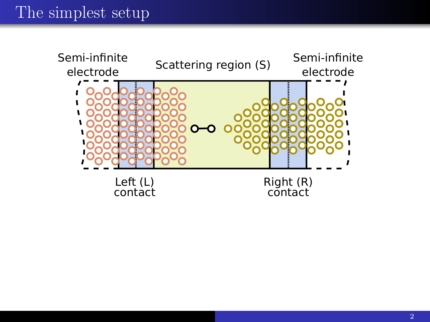## The simplest setup

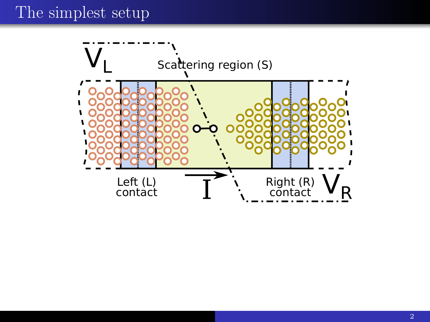#### The simplest setup

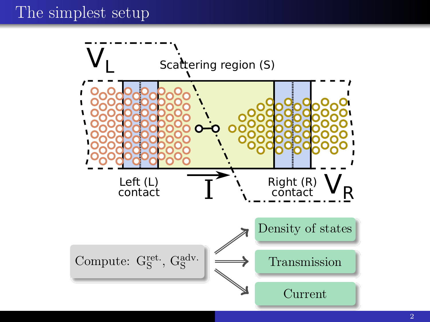### The simplest setup

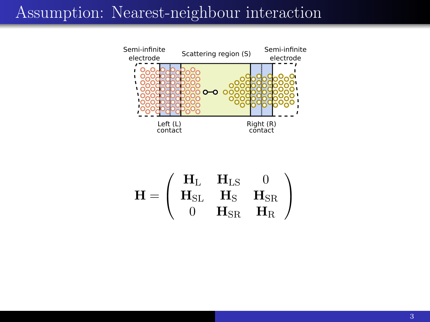#### Assumption: Nearest-neighbour interaction



$$
\mathbf{H} = \left( \begin{array}{ccc} \mathbf{H}_{\mathrm{L}} & \mathbf{H}_{\mathrm{LS}} & 0 \\ \mathbf{H}_{\mathrm{SL}} & \mathbf{H}_{\mathrm{S}} & \mathbf{H}_{\mathrm{SR}} \\ 0 & \mathbf{H}_{\mathrm{SR}} & \mathbf{H}_{\mathrm{R}} \end{array} \right)
$$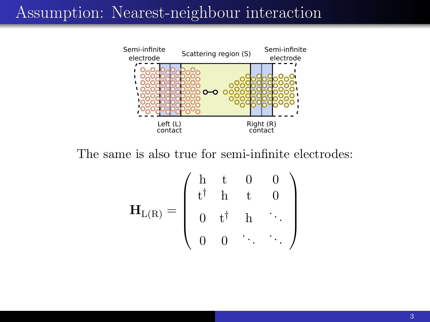#### Assumption: Nearest-neighbour interaction



The same is also true for semi-infinite electrodes:

$$
\mathbf{H}_{L(R)} = \left( \begin{array}{cccc} h & t & 0 & 0 \\ t^{\dagger} & h & t & 0 \\ 0 & t^{\dagger} & h & \ddots \\ 0 & 0 & \ddots & \ddots \end{array} \right)
$$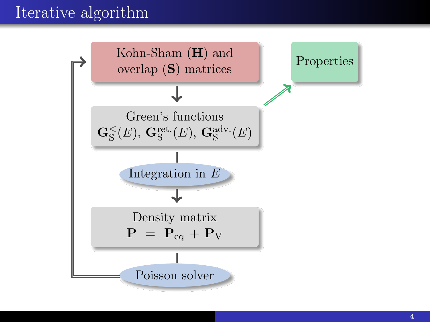## Iterative algorithm

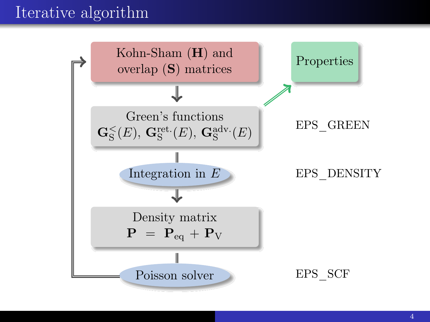## Iterative algorithm

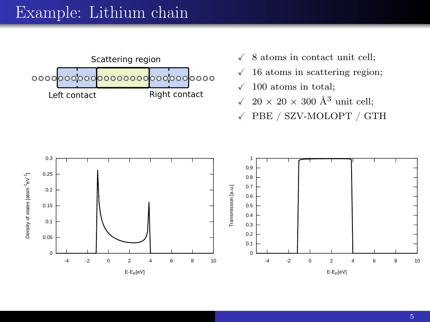#### Example: Lithium chain



- $\checkmark$  8 atoms in contact unit cell;
- $\checkmark$  16 atoms in scattering region;
- $\checkmark$  100 atoms in total;
- $\sqrt{20 \times 20 \times 300 \text{ Å}^3}$  unit cell:
- X PBE / SZV-MOLOPT / GTH

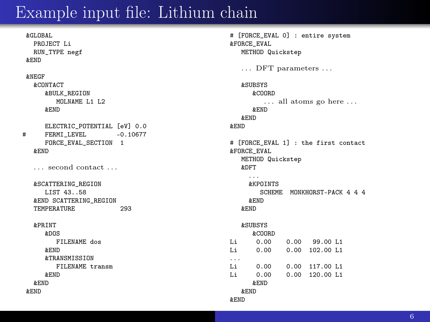#### Example input file: Lithium chain

&GLOBAL PROJECT Li RUN\_TYPE negf &END &NEGF &CONTACT &BULK\_REGION MOLNAME L1 L2 &END ELECTRIC\_POTENTIAL [eV] 0.0<br>FERMI LEVEL -0.10677 # FERMI LEVEL FORCE\_EVAL\_SECTION 1 &END . . . second contact . . . &SCATTERING\_REGION LIST 43..58 &END SCATTERING\_REGION TEMPERATURE 293 &PRINT &DOS FILENAME dos &END &TRANSMISSION FILENAME transm &END &END &END

# [FORCE\_EVAL 0] : entire system &FORCE\_EVAL METHOD Quickstep . . . DFT parameters . . . &SUBSYS &COORD . . . all atoms go here . . . &END &END &END # [FORCE\_EVAL 1] : the first contact &FORCE\_EVAL METHOD Quickstep &DFT . . . &KPOINTS SCHEME MONKHORST-PACK 4 4 4 &END &END &SUBSYS &COORD<br>0.00 Li 0.00 0.00 99.00 L1<br>Li 0.00 0.00 102.00 L1  $0.00$  102.00 L1 . . . Li 0.00 0.00 117.00 L1<br>Li 0.00 0.00 120.00 L1 0.00 120.00 L1 &END &END &END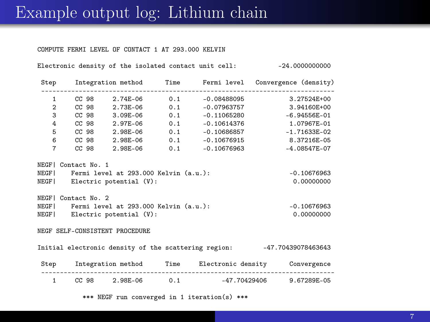#### Example output log: Lithium chain

COMPUTE FERMI LEVEL OF CONTACT 1 AT 293.000 KELVIN

Electronic density of the isolated contact unit cell: -24.00000000000

|                                                                         |                                             |                               |  |                                | Step Integration method Time Fermi level Convergence (density) |
|-------------------------------------------------------------------------|---------------------------------------------|-------------------------------|--|--------------------------------|----------------------------------------------------------------|
|                                                                         | $1 -$                                       |                               |  |                                | CC 98 2.74E-06 0.1 -0.08488095 3.27524E+00                     |
| $\overline{2}$                                                          |                                             |                               |  | CC 98 2.73E-06 0.1 -0.07963757 | 3.94160E+00                                                    |
| 3                                                                       |                                             |                               |  |                                | CC 98 3.09E-06 0.1 -0.11065280 -6.94556E-01                    |
| 4                                                                       |                                             |                               |  |                                | CC 98 2.97E-06 0.1 -0.10614376 1.07967E-01                     |
| 5                                                                       |                                             | CC 98 2.98E-06 0.1            |  |                                | $-0.10686857$ $-1.71633E-02$                                   |
|                                                                         |                                             |                               |  |                                | 6 CC 98 2.98E-06 0.1 -0.10676915 8.37216E-05                   |
| $\overline{7}$                                                          |                                             |                               |  |                                | CC 98 2.98E-06 0.1 -0.10676963 -4.08547E-07                    |
|                                                                         | NEGFI Contact No. 1                         |                               |  |                                |                                                                |
|                                                                         | NEGF  Fermi level at 293.000 Kelvin (a.u.): |                               |  |                                | $-0.10676963$                                                  |
|                                                                         |                                             | NEGF  Electric potential (V): |  |                                | 0.00000000                                                     |
|                                                                         | NEGFI Contact No. 2                         |                               |  |                                |                                                                |
| NEGF  Fermi level at 293.000 Kelvin (a.u.):                             |                                             |                               |  |                                | $-0.10676963$                                                  |
| NEGF   Electric potential (V):                                          |                                             |                               |  | 0.00000000                     |                                                                |
|                                                                         |                                             |                               |  |                                |                                                                |
| NEGF SELF-CONSISTENT PROCEDURE                                          |                                             |                               |  |                                |                                                                |
| Initial electronic density of the scattering region: -47.70439078463643 |                                             |                               |  |                                |                                                                |
|                                                                         |                                             |                               |  |                                | Step Integration method Time Electronic density Convergence    |
|                                                                         | $1 \qquad \qquad$                           |                               |  |                                | CC 98 2.98E-06 0.1 -47.70429406 9.67289E-05                    |
| *** NEGF run converged in 1 iteration(s) ***                            |                                             |                               |  |                                |                                                                |